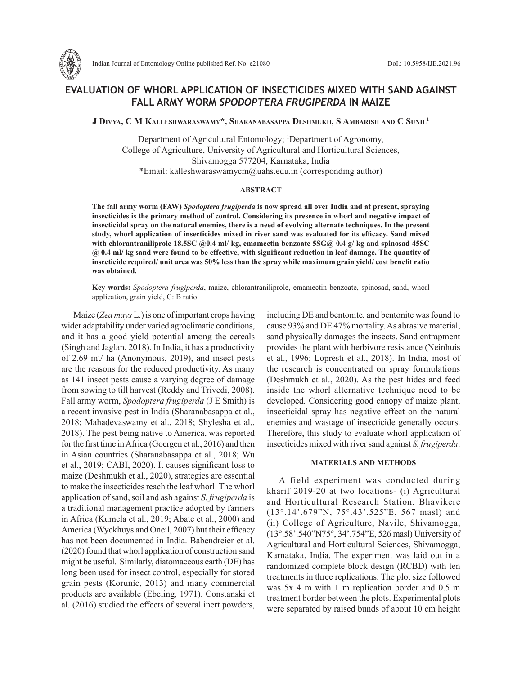

# **EVALUATION OF WHORL APPLICATION OF INSECTICIDES MIXED WITH SAND AGAINST FALL ARMY WORM** *SPODOPTERA FRUGIPERDA* **IN MAIZE**

**J Divya, C M Kalleshwaraswamy\*, Sharanabasappa Deshmukh, S Ambarish and C Sunil1**

Department of Agricultural Entomology; <sup>1</sup>Department of Agronomy, College of Agriculture, University of Agricultural and Horticultural Sciences, Shivamogga 577204, Karnataka, India \*Email: kalleshwaraswamycm@uahs.edu.in (corresponding author)

#### **ABSTRACT**

**The fall army worm (FAW)** *Spodoptera frugiperda* **is now spread all over India and at present, spraying insecticides is the primary method of control. Considering its presence in whorl and negative impact of insecticidal spray on the natural enemies, there is a need of evolving alternate techniques. In the present study, whorl application of insecticides mixed in river sand was evaluated for its efficacy. Sand mixed with chlorantraniliprole 18.5SC @0.4 ml/ kg, emamectin benzoate 5SG@ 0.4 g/ kg and spinosad 45SC @ 0.4 ml/ kg sand were found to be effective, with significant reduction in leaf damage. The quantity of insecticide required/ unit area was 50% less than the spray while maximum grain yield/ cost benefit ratio was obtained.** 

**Key words:** *Spodoptera frugiperda*, maize, chlorantraniliprole, emamectin benzoate, spinosad, sand, whorl application, grain yield, C: B ratio

Maize (*Zea mays* L.) is one of important crops having wider adaptability under varied agroclimatic conditions, and it has a good yield potential among the cereals (Singh and Jaglan, 2018). In India, it has a productivity of 2.69 mt/ ha (Anonymous, 2019), and insect pests are the reasons for the reduced productivity. As many as 141 insect pests cause a varying degree of damage from sowing to till harvest (Reddy and Trivedi, 2008). Fall army worm, *Spodoptera frugiperda* (J E Smith) is a recent invasive pest in India (Sharanabasappa et al., 2018; Mahadevaswamy et al., 2018; Shylesha et al., 2018). The pest being native to America, was reported for the first time in Africa (Goergen et al., 2016) and then in Asian countries (Sharanabasappa et al., 2018; Wu et al., 2019; CABI, 2020). It causes significant loss to maize (Deshmukh et al., 2020), strategies are essential to make the insecticides reach the leaf whorl. The whorl application of sand, soil and ash against *S. frugiperda* is a traditional management practice adopted by farmers in Africa (Kumela et al., 2019; Abate et al., 2000) and America (Wyckhuys and Oneil, 2007) but their efficacy has not been documented in India. Babendreier et al. (2020) found that whorl application of construction sand might be useful. Similarly, diatomaceous earth (DE) has long been used for insect control, especially for stored grain pests (Korunic, 2013) and many commercial products are available (Ebeling, 1971). Constanski et al. (2016) studied the effects of several inert powders, including DE and bentonite, and bentonite was found to cause 93% and DE 47% mortality. As abrasive material, sand physically damages the insects. Sand entrapment provides the plant with herbivore resistance (Neinhuis et al., 1996; Lopresti et al., 2018). In India, most of the research is concentrated on spray formulations (Deshmukh et al., 2020). As the pest hides and feed inside the whorl alternative technique need to be developed. Considering good canopy of maize plant, insecticidal spray has negative effect on the natural enemies and wastage of insecticide generally occurs. Therefore, this study to evaluate whorl application of insecticides mixed with river sand against *S. frugiperda*.

### **MATERIALS AND METHODS**

A field experiment was conducted during kharif 2019-20 at two locations- (i) Agricultural and Horticultural Research Station, Bhavikere (13°.14'.679"N, 75°.43'.525"E, 567 masl) and (ii) College of Agriculture, Navile, Shivamogga, (13°.58'.540"N75°, 34'.754"E, 526 masl) University of Agricultural and Horticultural Sciences, Shivamogga, Karnataka, India. The experiment was laid out in a randomized complete block design (RCBD) with ten treatments in three replications. The plot size followed was 5x 4 m with 1 m replication border and 0.5 m treatment border between the plots. Experimental plots were separated by raised bunds of about 10 cm height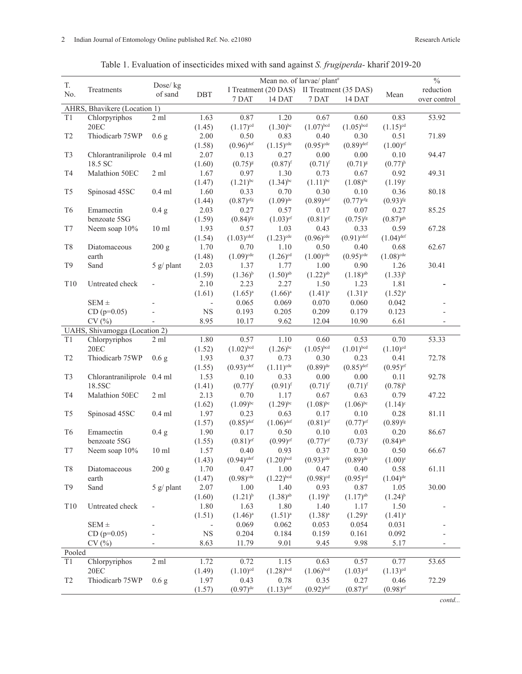|  | Table 1. Evaluation of insecticides mixed with sand against <i>S. frugiperda</i> -kharif 2019-20 |  |  |  |
|--|--------------------------------------------------------------------------------------------------|--|--|--|
|  |                                                                                                  |  |  |  |

|                              |                               |                              | Mean no. of larvae/ plant <sup>#</sup> |                                            |                         |                         |                          |                         | $\frac{0}{0}$ |
|------------------------------|-------------------------------|------------------------------|----------------------------------------|--------------------------------------------|-------------------------|-------------------------|--------------------------|-------------------------|---------------|
| T.                           | Dose/kg<br>Treatments         |                              |                                        | I Treatment (20 DAS) II Treatment (35 DAS) |                         |                         |                          |                         | reduction     |
| No.                          |                               | of sand                      | <b>DBT</b>                             | 7 DAT                                      | 14 DAT                  | 7 DAT                   | 14 DAT                   | Mean                    | over control  |
| AHRS, Bhavikere (Location 1) |                               |                              |                                        |                                            |                         |                         |                          |                         |               |
| T <sub>1</sub>               | Chlorpyriphos                 | $2 \text{ ml}$               | 1.63                                   | 0.87                                       | 1.20                    | 0.67                    | 0.60                     | 0.83                    | 53.92         |
|                              | 20EC                          |                              | (1.45)                                 | $(1.17)^{cd}$                              | $(1.30)$ <sup>bc</sup>  | $(1.07)^{bcd}$          | $(1.05)^{bcd}$           | $(1.15)^{cd}$           |               |
| $\mathsf{T}2$                | Thiodicarb 75WP               | 0.6 <sub>g</sub>             | 2.00                                   | 0.50                                       | 0.83                    | 0.40                    | 0.30                     | 0.51                    | 71.89         |
|                              |                               |                              | (1.58)                                 | $(0.96)$ <sup>def</sup>                    | $(1.15)$ <sup>cde</sup> | $(0.95)$ <sup>cde</sup> | $(0.89)$ <sup>def</sup>  | $(1.00)$ <sup>ef</sup>  |               |
| T <sub>3</sub>               | Chlorantraniliprole 0.4 ml    |                              | 2.07                                   | 0.13                                       | 0.27                    | 0.00                    | 0.00                     | 0.10                    | 94.47         |
|                              | 18.5 SC                       |                              | (1.60)                                 | $(0.75)^{8}$                               | $(0.87)$ <sup>f</sup>   | $(0.71)^{f}$            | $(0.71)^{g}$             | $(0.77)^{h}$            |               |
| T <sub>4</sub>               | Malathion 50EC                | 2 ml                         | 1.67                                   | 0.97                                       | 1.30                    | 0.73                    | 0.67                     | 0.92                    | 49.31         |
|                              |                               |                              | (1.47)                                 | $(1.21)$ <sup>bc</sup>                     | $(1.34)$ <sup>bc</sup>  | $(1.11)$ <sup>bc</sup>  | $(1.08)$ <sup>bc</sup>   | $(1.19)^c$              |               |
| T <sub>5</sub>               | Spinosad 45SC                 | $0.4$ ml                     | 1.60                                   | 0.33                                       | 0.70                    | 0.30                    | 0.10                     | 0.36                    | 80.18         |
|                              |                               |                              | (1.44)                                 | $(0.87)$ <sup>efg</sup>                    | $(1.09)$ <sup>de</sup>  | $(0.89)$ <sup>def</sup> | $(0.77)$ <sup>efg</sup>  | $(0.93)$ <sup>fg</sup>  |               |
| T <sub>6</sub>               | Emamectin                     | 0.4 <sub>g</sub>             | 2.03                                   | 0.27                                       | 0.57                    | 0.17                    | 0.07                     | 0.27                    | 85.25         |
|                              | benzoate 5SG                  |                              | (1.59)                                 | $(0.84)$ <sup>fg</sup>                     | $(1.03)$ <sup>ef</sup>  | $(0.81)$ <sup>ef</sup>  | $(0.75)$ <sup>fg</sup>   | $(0.87)^{gh}$           |               |
| T7                           | Neem soap 10%                 | $10 \text{ ml}$              | 1.93                                   | 0.57                                       | 1.03                    | 0.43                    | 0.33                     | 0.59                    | 67.28         |
|                              |                               |                              | (1.54)                                 | $(1.03)^{\text{cdef}}$                     | $(1.23)$ <sup>cde</sup> | $(0.96)$ <sup>cde</sup> | $(0.91)$ <sup>cdef</sup> | $(1.04)$ <sup>def</sup> |               |
| T <sub>8</sub>               | Diatomaceous                  | 200 g                        | 1.70                                   | 0.70                                       | 1.10                    | 0.50                    | 0.40                     | 0.68                    | 62.67         |
|                              | earth                         |                              | (1.48)                                 | $(1.09)^{cde}$                             | $(1.26)$ <sup>cd</sup>  | $(1.00)$ <sup>cde</sup> | $(0.95)$ <sup>cde</sup>  | $(1.08)^{cde}$          |               |
| T <sub>9</sub>               | Sand                          | $5 \frac{g}{\text{ planet}}$ | 2.03                                   | 1.37                                       | 1.77                    | 1.00                    | 0.90                     | 1.26                    | 30.41         |
|                              |                               |                              | (1.59)                                 | $(1.36)^{b}$                               | $(1.50)$ <sup>ab</sup>  | $(1.22)^{ab}$           | $(1.18)$ <sup>ab</sup>   | $(1.33)^{b}$            |               |
| T10                          | Untreated check               |                              | 2.10                                   | 2.23                                       | 2.27                    | 1.50                    | 1.23                     | 1.81                    |               |
|                              |                               |                              | (1.61)                                 | $(1.65)^{a}$                               | $(1.66)^{a}$            | $(1.41)^{a}$            | $(1.31)^{a}$             | $(1.52)^{a}$            |               |
|                              | $SEM \pm$                     |                              |                                        | 0.065                                      | 0.069                   | 0.070                   | 0.060                    | 0.042                   |               |
|                              | $CD (p=0.05)$                 |                              | $_{\rm NS}$                            | 0.193                                      | 0.205                   | 0.209                   | 0.179                    | 0.123                   |               |
|                              | CV(%)                         |                              | 8.95                                   | 10.17                                      | 9.62                    | 12.04                   | 10.90                    | 6.61                    |               |
|                              | UAHS, Shivamogga (Location 2) |                              |                                        |                                            |                         |                         |                          |                         |               |
| T <sub>1</sub>               | Chlorpyriphos                 | $2 \text{ ml}$               | 1.80                                   | 0.57                                       | 1.10                    | 0.60                    | 0.53                     | 0.70                    | 53.33         |
|                              | 20EC                          |                              | (1.52)                                 | $(1.02)^{bcd}$                             | $(1.26)$ <sup>bc</sup>  | $(1.05)^{bcd}$          | $(1.01)^{bcd}$           | $(1.10)^{cd}$           |               |
| T <sub>2</sub>               | Thiodicarb 75WP               | 0.6 <sub>g</sub>             | 1.93                                   | 0.37                                       | 0.73                    | 0.30                    | 0.23                     | 0.41                    | 72.78         |
|                              |                               |                              | (1.55)                                 | $(0.93)$ <sup>cdef</sup>                   | $(1.11)^{cde}$          | $(0.89)$ <sup>de</sup>  | $(0.85)$ <sup>def</sup>  | $(0.95)$ <sup>ef</sup>  |               |
| T <sub>3</sub>               | Chlorantraniliprole 0.4 ml    |                              | 1.53                                   | 0.10                                       | 0.33                    | 0.00                    | 0.00                     | 0.11                    | 92.78         |
|                              | 18.5SC                        |                              | (1.41)                                 | $(0.77)^{f}$                               | $(0.91)$ <sup>f</sup>   | $(0.71)^{f}$            | $(0.71)^{f}$             | $(0.78)$ <sup>h</sup>   |               |
| T <sub>4</sub>               | Malathion 50EC                | $2 \text{ ml}$               | 2.13                                   | 0.70                                       | 1.17                    | 0.67                    | 0.63                     | 0.79                    | 47.22         |
|                              |                               |                              | (1.62)                                 | $(1.09)^{bc}$                              | $(1.29)^{bc}$           | $(1.08)$ <sup>bc</sup>  | $(1.06)^{bc}$            | $(1.14)^c$              |               |
| T <sub>5</sub>               | Spinosad 45SC                 | $0.4$ ml                     | 1.97                                   | 0.23                                       | 0.63                    | 0.17                    | 0.10                     | 0.28                    | 81.11         |
|                              |                               |                              | (1.57)                                 | $(0.85)$ <sup>def</sup>                    | $(1.06)$ <sup>def</sup> | $(0.81)$ <sup>ef</sup>  | $(0.77)$ <sup>ef</sup>   | $(0.89)$ <sup>fg</sup>  |               |
| T <sub>6</sub>               | Emamectin                     | 0.4 g                        | 1.90                                   | 0.17                                       | 0.50                    | 0.10                    | 0.03                     | 0.20                    | 86.67         |
|                              | benzoate 5SG                  |                              | (1.55)                                 | $(0.81)$ <sup>ef</sup>                     | $(0.99)$ <sup>ef</sup>  | $(0.77)$ <sup>ef</sup>  | $(0.73)$ <sup>f</sup>    | $(0.84)$ <sup>gh</sup>  |               |
| T7                           | Neem soap $10\%$              | 10 <sub>ml</sub>             | 1.57                                   | 0.40                                       | 0.93                    | 0.37                    | 0.30                     | 0.50                    | 66.67         |
|                              |                               |                              | (1.43)                                 | $(0.94)$ <sup>cdef</sup>                   | $(1.20)^{bcd}$          | $(0.93)$ <sup>cde</sup> | $(0.89)$ <sup>de</sup>   | $(1.00)^e$              |               |
| T <sub>8</sub>               | Diatomaceous                  | 200 g                        | 1.70                                   | 0.47                                       | 1.00                    | 0.47                    | 0.40                     | 0.58                    | 61.11         |
|                              | earth                         |                              | (1.47)                                 | $(0.98)$ <sup>cde</sup>                    | $(1.22)^{bcd}$          | $(0.98)$ <sup>cd</sup>  | $(0.95)$ <sup>cd</sup>   | $(1.04)$ <sup>de</sup>  |               |
| T9                           | Sand                          | 5 g/ plant                   | 2.07                                   | 1.00                                       | 1.40                    | 0.93                    | 0.87                     | 1.05                    | 30.00         |
|                              |                               |                              | (1.60)                                 | $(1.21)^{b}$                               | $(1.38)$ <sup>ab</sup>  | $(1.19)^{b}$            | $(1.17)$ <sup>ab</sup>   | $(1.24)^{b}$            |               |
| T10                          | Untreated check               |                              | 1.80                                   | 1.63                                       | 1.80                    | 1.40                    | 1.17                     | 1.50                    |               |
|                              |                               |                              | (1.51)                                 | $(1.46)^a$                                 | $(1.51)^{a}$            | $(1.38)^{a}$            | $(1.29)^{a}$             | $(1.41)^{a}$            |               |
|                              | SEM $\pm$                     |                              |                                        | 0.069                                      | 0.062                   | 0.053                   | 0.054                    | 0.031                   |               |
|                              | $CD (p=0.05)$                 |                              | $_{\rm NS}$                            | 0.204                                      | 0.184                   | 0.159                   | 0.161                    | 0.092                   |               |
|                              | CV(%)                         |                              | 8.63                                   | 11.79                                      | 9.01                    | 9.45                    | 9.98                     | 5.17                    |               |
| Pooled                       |                               |                              |                                        |                                            |                         |                         |                          |                         |               |
| T1                           | Chlorpyriphos                 | $2 \text{ ml}$               | 1.72                                   | 0.72                                       | 1.15                    | 0.63                    | 0.57                     | 0.77                    | 53.65         |
|                              | 20EC                          |                              | (1.49)                                 | $(1.10)^{cd}$                              | $(1.28)^{bcd}$          | $(1.06)^{bcd}$          | $(1.03)^{cd}$            | $(1.13)^{cd}$           |               |
| T <sub>2</sub>               | Thiodicarb 75WP               | 0.6 <sub>g</sub>             | 1.97                                   | 0.43                                       | 0.78                    | 0.35                    | 0.27                     | 0.46                    | 72.29         |
|                              |                               |                              | (1.57)                                 | $(0.97)$ <sup>de</sup>                     | $(1.13)$ <sup>def</sup> | $(0.92)$ <sup>def</sup> | $(0.87)$ <sup>ef</sup>   | $(0.98)$ <sup>ef</sup>  |               |

*contd...*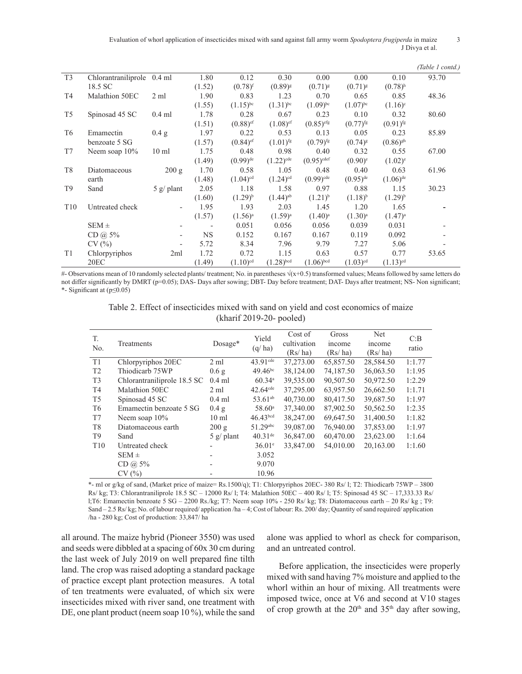Evaluation of whorl application of insecticides mixed with sand against fall army worm *Spodoptera frugiperda* in maize 3 J Divya et al.

|                 |                            |                                   |           |                        |                        |                          |                        |                        | (Table 1 contd.) |
|-----------------|----------------------------|-----------------------------------|-----------|------------------------|------------------------|--------------------------|------------------------|------------------------|------------------|
| T <sub>3</sub>  | Chlorantraniliprole 0.4 ml |                                   | 1.80      | 0.12                   | 0.30                   | 0.00                     | 0.00                   | 0.10                   | 93.70            |
|                 | 18.5 SC                    |                                   | (1.52)    | $(0.78)^{f}$           | $(0.89)^{g}$           | $(0.71)^{g}$             | $(0.71)^{g}$           | $(0.78)$ <sup>h</sup>  |                  |
| T4              | Malathion 50EC             | $2 \text{ ml}$                    | 1.90      | 0.83                   | 1.23                   | 0.70                     | 0.65                   | 0.85                   | 48.36            |
|                 |                            |                                   | (1.55)    | $(1.15)^{bc}$          | $(1.31)^{bc}$          | $(1.09)^{bc}$            | $(1.07)^{bc}$          | $(1.16)^c$             |                  |
| T <sub>5</sub>  | Spinosad 45 SC             | $0.4$ ml                          | 1.78      | 0.28                   | 0.67                   | 0.23                     | 0.10                   | 0.32                   | 80.60            |
|                 |                            |                                   | (1.51)    | $(0.88)$ <sup>ef</sup> | $(1.08)$ <sup>ef</sup> | $(0.85)$ <sup>efg</sup>  | $(0.77)$ <sup>fg</sup> | $(0.91)$ <sup>fg</sup> |                  |
| T <sub>6</sub>  | Emamectin                  | 0.4 g                             | 1.97      | 0.22                   | 0.53                   | 0.13                     | 0.05                   | 0.23                   | 85.89            |
|                 | benzoate 5 SG              |                                   | (1.57)    | $(0.84)$ <sup>ef</sup> | $(1.01)$ <sup>fg</sup> | $(0.79)$ <sup>fg</sup>   | $(0.74)^{8}$           | $(0.86)^{gh}$          |                  |
| T7              | Neem soap $10\%$           | $10 \text{ ml}$                   | 1.75      | 0.48                   | 0.98                   | 0.40                     | 0.32                   | 0.55                   | 67.00            |
|                 |                            |                                   | (1.49)    | $(0.99)$ <sup>de</sup> | $(1.22)^{cde}$         | $(0.95)$ <sup>cdef</sup> | $(0.90)$ <sup>e</sup>  | $(1.02)^{e}$           |                  |
| T <sub>8</sub>  | Diatomaceous               | 200 g                             | 1.70      | 0.58                   | 1.05                   | 0.48                     | 0.40                   | 0.63                   | 61.96            |
|                 | earth                      |                                   | (1.48)    | $(1.04)^{cd}$          | $(1.24)$ <sup>cd</sup> | $(0.99)$ <sup>cde</sup>  | $(0.95)$ <sup>de</sup> | $(1.06)$ <sup>de</sup> |                  |
| T <sub>9</sub>  | Sand                       | $5 \frac{\text{g}}{\text{plant}}$ | 2.05      | 1.18                   | 1.58                   | 0.97                     | 0.88                   | 1.15                   | 30.23            |
|                 |                            |                                   | (1.60)    | $(1.29)^{b}$           | $(1.44)$ <sup>ab</sup> | $(1.21)^{b}$             | $(1.18)^{b}$           | $(1.29)^{b}$           |                  |
| T <sub>10</sub> | Untreated check            | $\overline{\phantom{0}}$          | 1.95      | 1.93                   | 2.03                   | 1.45                     | 1.20                   | 1.65                   |                  |
|                 |                            |                                   | (1.57)    | $(1.56)^{a}$           | $(1.59)^{a}$           | $(1.40)^a$               | $(1.30)^a$             | $(1.47)^{a}$           |                  |
|                 | $SEM \pm$                  |                                   |           | 0.051                  | 0.056                  | 0.056                    | 0.039                  | 0.031                  |                  |
|                 | CD @ 5%                    | $\overline{\phantom{a}}$          | <b>NS</b> | 0.152                  | 0.167                  | 0.167                    | 0.119                  | 0.092                  |                  |
|                 | CV(%)                      | $\overline{\phantom{0}}$          | 5.72      | 8.34                   | 7.96                   | 9.79                     | 7.27                   | 5.06                   |                  |
| T <sub>1</sub>  | Chlorpyriphos              | 2ml                               | 1.72      | 0.72                   | 1.15                   | 0.63                     | 0.57                   | 0.77                   | 53.65            |
|                 | 20 <sub>EC</sub>           |                                   | (1.49)    | $(1.10)^{cd}$          | $(1.28)^{bcd}$         | $(1.06)^{bcd}$           | $(1.03)$ <sup>cd</sup> | $(1.13)^{cd}$          |                  |

#- Observations mean of 10 randomly selected plants/ treatment; No. in parentheses  $\sqrt{(x+0.5)}$  transformed values; Means followed by same letters do not differ significantly by DMRT (p=0.05); DAS- Days after sowing; DBT- Day before treatment; DAT- Days after treatment; NS- Non significant; \*- Significant at (p≤0.05)

Table 2. Effect of insecticides mixed with sand on yield and cost economics of maize (kharif 2019-20- pooled)

| T.<br>No.       | Treatments                  | Dosage*                           | Yield<br>(q/ha)        | Cost of<br>cultivation<br>(Rs/ha) | Gross<br>income<br>(Rs/ha) | <b>Net</b><br>income<br>(Rs/ha) | C:B<br>ratio |
|-----------------|-----------------------------|-----------------------------------|------------------------|-----------------------------------|----------------------------|---------------------------------|--------------|
| T1              | Chlorpyriphos 20EC          | $2 \text{ ml}$                    | $43.91c$ <sup>de</sup> | 37,273.00                         | 65,857.50                  | 28,584.50                       | 1:1.77       |
| T <sub>2</sub>  | Thiodicarb 75WP             | 0.6 <sub>g</sub>                  | $49.46^{bc}$           | 38,124.00                         | 74,187.50                  | 36,063.50                       | 1:1.95       |
| T <sub>3</sub>  | Chlorantraniliprole 18.5 SC | $0.4$ ml                          | 60.34a                 | 39,535.00                         | 90,507.50                  | 50,972.50                       | 1:2.29       |
| T <sub>4</sub>  | Malathion 50EC              | $2 \text{ ml}$                    | $42.64$ <sup>cde</sup> | 37,295.00                         | 63,957.50                  | 26,662.50                       | 1:1.71       |
| T <sub>5</sub>  | Spinosad 45 SC              | $0.4$ ml                          | 53.61 <sup>ab</sup>    | 40.730.00                         | 80,417.50                  | 39,687.50                       | 1:1.97       |
| T <sub>6</sub>  | Emamectin benzoate 5 SG     | 0.4 g                             | 58.60 <sup>a</sup>     | 37,340.00                         | 87,902.50                  | 50,562.50                       | 1:2.35       |
| T <sub>7</sub>  | Neem soap $10\%$            | 10 <sub>ml</sub>                  | 46.43 <sup>bcd</sup>   | 38,247.00                         | 69,647.50                  | 31,400.50                       | 1:1.82       |
| T <sub>8</sub>  | Diatomaceous earth          | 200 g                             | 51.29abc               | 39,087.00                         | 76,940.00                  | 37,853.00                       | 1:1.97       |
| T <sub>9</sub>  | Sand                        | $5 \frac{\text{g}}{\text{plant}}$ | $40.31$ <sup>de</sup>  | 36,847.00                         | 60,470.00                  | 23,623.00                       | 1:1.64       |
| T <sub>10</sub> | Untreated check             |                                   | $36.01^{\circ}$        | 33,847.00                         | 54,010.00                  | 20,163.00                       | 1:1.60       |
|                 | $SEM \pm$                   |                                   | 3.052                  |                                   |                            |                                 |              |
|                 | $CD$ @ 5%                   |                                   | 9.070                  |                                   |                            |                                 |              |
|                 | CV(%)                       |                                   | 10.96                  |                                   |                            |                                 |              |

\*- ml or g/kg of sand, (Market price of maize= Rs.1500/q); T1: Chlorpyriphos 20EC- 380 Rs/ l; T2: Thiodicarb 75WP – 3800 Rs/ kg; T3: Chlorantraniliprole 18.5 SC – 12000 Rs/ l; T4: Malathion 50EC – 400 Rs/ l; T5: Spinosad 45 SC – 17,333.33 Rs/ l;T6: Emamectin benzoate 5 SG – 2200 Rs./kg; T7: Neem soap 10% - 250 Rs/ kg; T8: Diatomaceous earth – 20 Rs/ kg ; T9: Sand – 2.5 Rs/ kg; No. of labour required/ application /ha – 4; Cost of labour: Rs. 200/ day; Quantity of sand required/ application /ha - 280 kg; Cost of production: 33,847/ ha

all around. The maize hybrid (Pioneer 3550) was used and seeds were dibbled at a spacing of 60x 30 cm during the last week of July 2019 on well prepared fine tilth land. The crop was raised adopting a standard package of practice except plant protection measures. A total of ten treatments were evaluated, of which six were insecticides mixed with river sand, one treatment with DE, one plant product (neem soap 10 %), while the sand

alone was applied to whorl as check for comparison, and an untreated control.

Before application, the insecticides were properly mixed with sand having 7% moisture and applied to the whorl within an hour of mixing. All treatments were imposed twice, once at V6 and second at V10 stages of crop growth at the  $20<sup>th</sup>$  and  $35<sup>th</sup>$  day after sowing,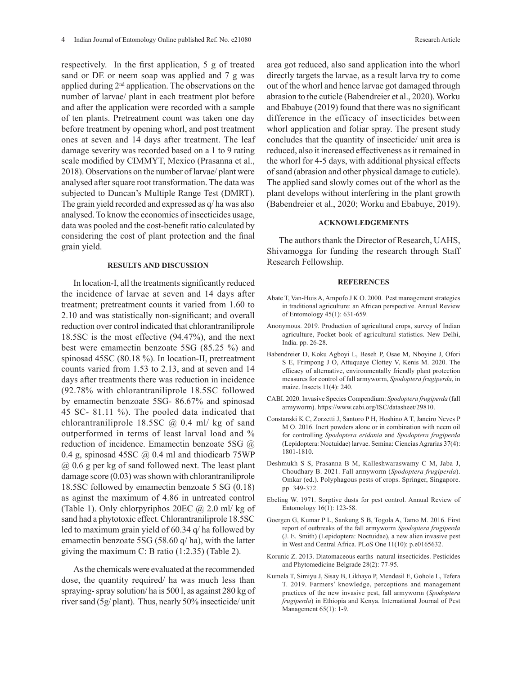respectively. In the first application, 5 g of treated sand or DE or neem soap was applied and 7 g was applied during 2nd application. The observations on the number of larvae/ plant in each treatment plot before and after the application were recorded with a sample of ten plants. Pretreatment count was taken one day before treatment by opening whorl, and post treatment ones at seven and 14 days after treatment. The leaf damage severity was recorded based on a 1 to 9 rating scale modified by CIMMYT, Mexico (Prasanna et al., 2018). Observations on the number of larvae/ plant were analysed after square root transformation. The data was subjected to Duncan's Multiple Range Test (DMRT). The grain yield recorded and expressed as q/ ha was also analysed. To know the economics of insecticides usage, data was pooled and the cost-benefit ratio calculated by considering the cost of plant protection and the final grain yield.

## **RESULTS AND DISCUSSION**

In location-I, all the treatments significantly reduced the incidence of larvae at seven and 14 days after treatment; pretreatment counts it varied from 1.60 to 2.10 and was statistically non-significant; and overall reduction over control indicated that chlorantraniliprole 18.5SC is the most effective (94.47%), and the next best were emamectin benzoate 5SG (85.25 %) and spinosad 45SC (80.18 %). In location-II, pretreatment counts varied from 1.53 to 2.13, and at seven and 14 days after treatments there was reduction in incidence (92.78% with chlorantraniliprole 18.5SC followed by emamectin benzoate 5SG- 86.67% and spinosad 45 SC- 81.11 %). The pooled data indicated that chlorantraniliprole 18.5SC  $\omega$  0.4 ml/ kg of sand outperformed in terms of least larval load and % reduction of incidence. Emamectin benzoate 5SG @ 0.4 g, spinosad 45SC  $\omega$  0.4 ml and thiodicarb 75WP @ 0.6 g per kg of sand followed next. The least plant damage score (0.03) was shown with chlorantraniliprole 18.5SC followed by emamectin benzoate 5 SG (0.18) as aginst the maximum of 4.86 in untreated control (Table 1). Only chlorpyriphos  $20EC \ (\omega\ 2.0 \)$  ml/ kg of sand had a phytotoxic effect. Chlorantraniliprole 18.5SC led to maximum grain yield of 60.34 q/ ha followed by emamectin benzoate 5SG (58.60 q/ ha), with the latter giving the maximum C: B ratio (1:2.35) (Table 2).

As the chemicals were evaluated at the recommended dose, the quantity required/ ha was much less than spraying- spray solution/ ha is 500 l, as against 280 kg of river sand (5g/ plant). Thus, nearly 50% insecticide/ unit area got reduced, also sand application into the whorl directly targets the larvae, as a result larva try to come out of the whorl and hence larvae got damaged through abrasion to the cuticle (Babendreier et al., 2020). Worku and Ebabuye (2019) found that there was no significant difference in the efficacy of insecticides between whorl application and foliar spray. The present study concludes that the quantity of insecticide/ unit area is reduced, also it increased effectiveness as it remained in the whorl for 4-5 days, with additional physical effects of sand (abrasion and other physical damage to cuticle).

plant develops without interfering in the plant growth (Babendreier et al., 2020; Worku and Ebabuye, 2019).

## **ACKNOWLEDGEMENTS**

The applied sand slowly comes out of the whorl as the

The authors thank the Director of Research, UAHS, Shivamogga for funding the research through Staff Research Fellowship.

#### **REFERENCES**

- Abate T, Van-Huis A, Ampofo J K O. 2000. Pest management strategies in traditional agriculture: an African perspective. Annual Review of Entomology 45(1): 631-659.
- Anonymous. 2019. Production of agricultural crops, survey of Indian agriculture, Pocket book of agricultural statistics. New Delhi, India. pp. 26-28.
- Babendreier D, Koku Agboyi L, Beseh P, Osae M, Nboyine J, Ofori S E, Frimpong J O, Attuquaye Clottey V, Kenis M. 2020. The efficacy of alternative, environmentally friendly plant protection measures for control of fall armyworm, *Spodoptera frugiperda*, in maize. Insects 11(4): 240.
- CABI. 2020. Invasive Species Compendium: *Spodoptera frugiperda* (fall armyworm). https://www.cabi.org/ISC/datasheet/29810.
- Constanski K C, Zorzetti J, Santoro P H, Hoshino A T, Janeiro Neves P M O. 2016. Inert powders alone or in combination with neem oil for controlling *Spodoptera eridania* and *Spodoptera frugiperda* (Lepidoptera: Noctuidae) larvae. Semina: Ciencias Agrarias 37(4): 1801-1810.
- Deshmukh S S, Prasanna B M, Kalleshwaraswamy C M, Jaba J, Choudhary B. 2021. Fall armyworm (*Spodoptera frugiperda*). Omkar (ed.). Polyphagous pests of crops. Springer, Singapore. pp. 349-372.
- Ebeling W. 1971. Sorptive dusts for pest control. Annual Review of Entomology 16(1): 123-58.
- Goergen G, Kumar P L, Sankung S B, Togola A, Tamo M. 2016. First report of outbreaks of the fall armyworm *Spodoptera frugiperda* (J. E. Smith) (Lepidoptera: Noctuidae), a new alien invasive pest in West and Central Africa. PLoS One 11(10): p.e0165632.
- Korunic Z. 2013. Diatomaceous earths–natural insecticides. Pesticides and Phytomedicine Belgrade 28(2): 77-95.
- Kumela T, Simiyu J, Sisay B, Likhayo P, Mendesil E, Gohole L, Tefera T. 2019. Farmers' knowledge, perceptions and management practices of the new invasive pest, fall armyworm (*Spodoptera frugiperda*) in Ethiopia and Kenya. International Journal of Pest Management 65(1): 1-9.